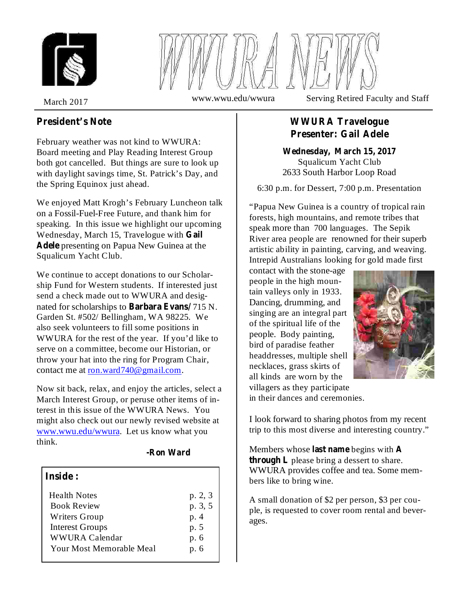



March 2017 www.wwu.edu/wwura Serving Retired Faculty and Staff

## **President's Note**

February weather was not kind to WWURA: Board meeting and Play Reading Interest Group both got cancelled. But things are sure to look up with daylight savings time, St. Patrick's Day, and the Spring Equinox just ahead.

We enjoyed Matt Krogh's February Luncheon talk on a Fossil-Fuel-Free Future, and thank him for speaking. In this issue we highlight our upcoming Wednesday, March 15, Travelogue with **Gail** Adele presenting on Papua New Guinea at the Squalicum Yacht Club.

We continue to accept donations to our Scholarship Fund for Western students. If interested just send a check made out to WWURA and designated for scholarships to **Barbara Evans**/715 N. Garden St. #502/ Bellingham, WA 98225. We also seek volunteers to fill some positions in WWURA for the rest of the year. If you'd like to serve on a committee, become our Historian, or throw your hat into the ring for Program Chair, contact me at ron.ward740@gmail.com.

Now sit back, relax, and enjoy the articles, select a March Interest Group, or peruse other items of interest in this issue of the WWURA News. You might also check out our newly revised website at www.wwu.edu/wwura. Let us know what you think.

#### **-Ron Ward**

#### **Inside :**

| <b>Health Notes</b>             | p. 2, 3 |
|---------------------------------|---------|
| <b>Book Review</b>              | p. 3, 5 |
| Writers Group                   | p.4     |
| <b>Interest Groups</b>          | p. 5    |
| <b>WWURA Calendar</b>           | p. 6    |
| <b>Your Most Memorable Meal</b> | p. 6    |

## **WWURA Travelogue Presenter: Gail Adele**

Squalicum Yacht Club 2633 South Harbor Loop Road **Wednesday, March 15, 2017**

6:30 p.m. for Dessert, 7:00 p.m. Presentation

"Papua New Guinea is a country of tropical rain forests, high mountains, and remote tribes that speak more than 700 languages. The Sepik River area people are renowned for their superb artistic ability in painting, carving, and weaving. Intrepid Australians looking for gold made first

contact with the stone-age people in the high mountain valleys only in 1933. Dancing, drumming, and singing are an integral part of the spiritual life of the people. Body painting, bird of paradise feather headdresses, multiple shell necklaces, grass skirts of all kinds are worn by the villagers as they participate



in their dances and ceremonies.

I look forward to sharing photos from my recent trip to this most diverse and interesting country."

Members whose last name begins with A **through L** please bring a dessert to share. WWURA provides coffee and tea. Some members like to bring wine.

A small donation of \$2 per person, \$3 per couple, is requested to cover room rental and beverages.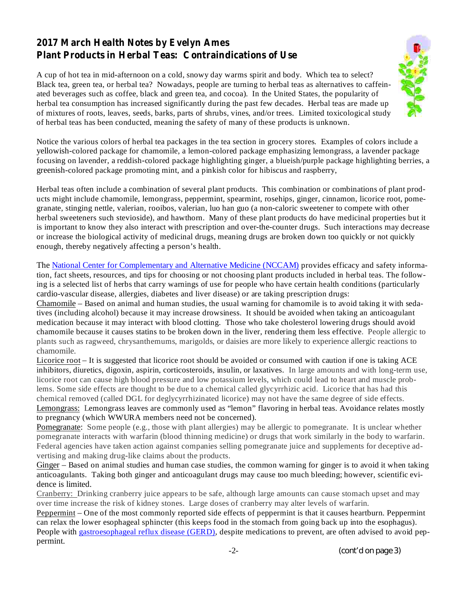## **2017 March Health Notes by Evelyn Ames Plant Products in Herbal Teas: Contraindications of Use**

A cup of hot tea in mid-afternoon on a cold, snowy day warms spirit and body. Which tea to select? Black tea, green tea, or herbal tea? Nowadays, people are turning to herbal teas as alternatives to caffeinated beverages such as coffee, black and green tea, and cocoa). In the United States, the popularity of herbal tea consumption has increased significantly during the past few decades. Herbal teas are made up of mixtures of roots, leaves, seeds, barks, parts of shrubs, vines, and/or trees. Limited toxicological study of herbal teas has been conducted, meaning the safety of many of these products is unknown.



Notice the various colors of herbal tea packages in the tea section in grocery stores. Examples of colors include a yellowish-colored package for chamomile, a lemon-colored package emphasizing lemongrass, a lavender package focusing on lavender, a reddish-colored package highlighting ginger, a blueish/purple package highlighting berries, a greenish-colored package promoting mint, and a pinkish color for hibiscus and raspberry,

Herbal teas often include a combination of several plant products. This combination or combinations of plant products might include chamomile, lemongrass, peppermint, spearmint, rosehips, ginger, cinnamon, licorice root, pomegranate, stinging nettle, valerian, rooibos, valerian, luo han guo (a non-caloric sweetener to compete with other herbal sweeteners such stevioside), and hawthorn. Many of these plant products do have medicinal properties but it is important to know they also interact with prescription and over-the-counter drugs. Such interactions may decrease or increase the biological activity of medicinal drugs, meaning drugs are broken down too quickly or not quickly enough, thereby negatively affecting a person's health.

The National Center for Complementary and Alternative Medicine (NCCAM) provides efficacy and safety information, fact sheets, resources, and tips for choosing or not choosing plant products included in herbal teas. The following is a selected list of herbs that carry warnings of use for people who have certain health conditions (particularly cardio-vascular disease, allergies, diabetes and liver disease) or are taking prescription drugs:

Chamomile – Based on animal and human studies, the usual warning for chamomile is to avoid taking it with sedatives (including alcohol) because it may increase drowsiness. It should be avoided when taking an anticoagulant medication because it may interact with blood clotting. Those who take cholesterol lowering drugs should avoid chamomile because it causes statins to be broken down in the liver, rendering them less effective. People allergic to plants such as ragweed, chrysanthemums, marigolds, or daisies are more likely to experience allergic reactions to chamomile.

Licorice root – It is suggested that licorice root should be avoided or consumed with caution if one is taking ACE inhibitors, diuretics, digoxin, aspirin, corticosteroids, insulin, or laxatives. In large amounts and with long-term use, licorice root can cause high blood pressure and low potassium levels, which could lead to heart and muscle problems. Some side effects are thought to be due to a chemical called glycyrrhizic acid. Licorice that has had this chemical removed (called DGL for deglycyrrhizinated licorice) may not have the same degree of side effects. Lemongrass: Lemongrass leaves are commonly used as "lemon" flavoring in herbal teas. Avoidance relates mostly to pregnancy (which WWURA members need not be concerned).

Pomegranate: Some people (e.g., those with plant allergies) may be allergic to pomegranate. It is unclear whether pomegranate interacts with warfarin (blood thinning medicine) or drugs that work similarly in the body to warfarin. Federal agencies have taken action against companies selling pomegranate juice and supplements for deceptive advertising and making drug-like claims about the products.

Ginger – Based on animal studies and human case studies, the common warning for ginger is to avoid it when taking anticoagulants. Taking both ginger and anticoagulant drugs may cause too much bleeding; however, scientific evidence is limited.

Cranberry: Drinking cranberry juice appears to be safe, although large amounts can cause stomach upset and may over time increase the risk of kidney stones. Large doses of cranberry may alter levels of warfarin.

Peppermint – One of the most commonly reported side effects of peppermint is that it causes heartburn. Peppermint can relax the lower esophageal sphincter (this keeps food in the stomach from going back up into the esophagus). People with gastroesophageal reflux disease (GERD), despite medications to prevent, are often advised to avoid peppermint.

-2- *(cont'd on page 3)*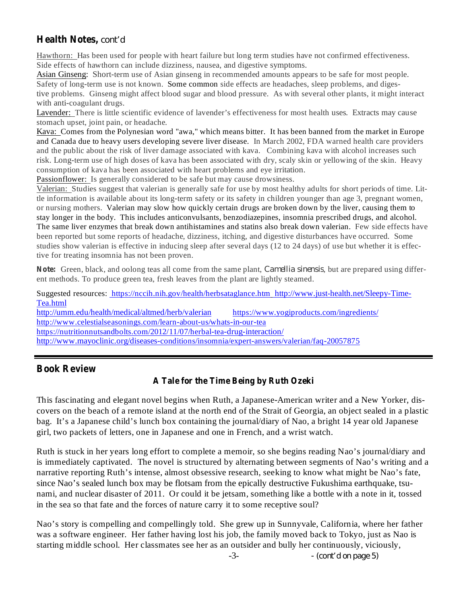## **Health Notes,** *cont'd*

Hawthorn: Has been used for people with heart failure but long term studies have not confirmed effectiveness. Side effects of hawthorn can include dizziness, nausea, and digestive symptoms.

Asian Ginseng: Short-term use of Asian ginseng in recommended amounts appears to be safe for most people. Safety of long-term use is not known. Some common side effects are headaches, sleep problems, and digestive problems. Ginseng might affect blood sugar and blood pressure. As with several other plants, it might interact with anti-coagulant drugs.

Lavender: There is little scientific evidence of lavender's effectiveness for most health uses. Extracts may cause stomach upset, joint pain, or headache.

Kava: Comes from the Polynesian word "awa," which means bitter. It has been banned from the market in Europe and Canada due to heavy users developing severe liver disease. In March 2002, FDA warned health care providers and the public about the risk of liver damage associated with kava. Combining kava with alcohol increases such risk. Long-term use of high doses of kava has been associated with dry, scaly skin or yellowing of the skin. Heavy consumption of kava has been associated with heart problems and eye irritation.

Passionflower: Is generally considered to be safe but may cause drowsiness.

Valerian: Studies suggest that valerian is generally safe for use by most healthy adults for short periods of time. Little information is available about its long-term safety or its safety in children younger than age 3, pregnant women, or nursing mothers. Valerian may slow how quickly certain drugs are broken down by the liver, causing them to stay longer in the body. This includes anticonvulsants, benzodiazepines, insomnia prescribed drugs, and alcohol. The same liver enzymes that break down antihistamines and statins also break down valerian. Few side effects have been reported but some reports of headache, dizziness, itching, and digestive disturbances have occurred. Some studies show valerian is effective in inducing sleep after several days (12 to 24 days) of use but whether it is effective for treating insomnia has not been proven.

Note: Green, black, and oolong teas all come from the same plant, *Camellia sinensis*, but are prepared using different methods. To produce green tea, fresh leaves from the plant are lightly steamed.

Suggested resources: https://nccih.nih.gov/health/herbsataglance.htm http://www.just-health.net/Sleepy-Time-Tea.html http://umm.edu/health/medical/altmed/herb/valerian https://www.yogiproducts.com/ingredients/ http://www.celestialseasonings.com/learn-about-us/whats-in-our-tea https://nutritionnutsandbolts.com/2012/11/07/herbal-tea-drug-interaction/ http://www.mayoclinic.org/diseases-conditions/insomnia/expert-answers/valerian/faq-20057875

## **Book Review**

## **A Tale for the Time Being by Ruth Ozeki**

This fascinating and elegant novel begins when Ruth, a Japanese-American writer and a New Yorker, discovers on the beach of a remote island at the north end of the Strait of Georgia, an object sealed in a plastic bag. It's a Japanese child's lunch box containing the journal/diary of Nao, a bright 14 year old Japanese girl, two packets of letters, one in Japanese and one in French, and a wrist watch.

Ruth is stuck in her years long effort to complete a memoir, so she begins reading Nao's journal/diary and is immediately captivated. The novel is structured by alternating between segments of Nao's writing and a narrative reporting Ruth's intense, almost obsessive research, seeking to know what might be Nao's fate, since Nao's sealed lunch box may be flotsam from the epically destructive Fukushima earthquake, tsunami, and nuclear disaster of 2011. Or could it be jetsam, something like a bottle with a note in it, tossed in the sea so that fate and the forces of nature carry it to some receptive soul?

Nao's story is compelling and compellingly told. She grew up in Sunnyvale, California, where her father was a software engineer. Her father having lost his job, the family moved back to Tokyo, just as Nao is starting middle school. Her classmates see her as an outsider and bully her continuously, viciously,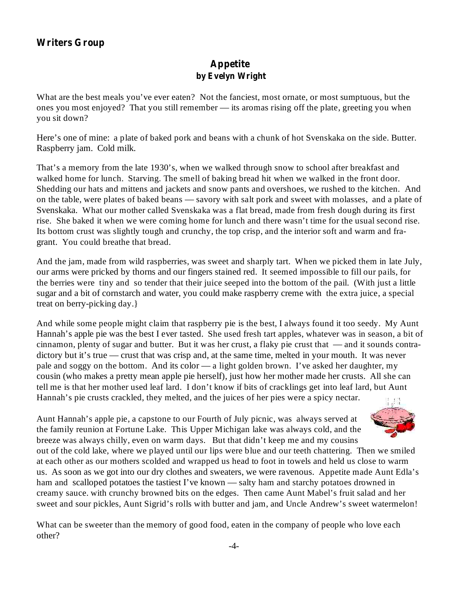## **Writers Group**

### **Appetite by Evelyn Wright**

What are the best meals you've ever eaten? Not the fanciest, most ornate, or most sumptuous, but the ones you most enjoyed? That you still remember — its aromas rising off the plate, greeting you when you sit down?

Here's one of mine: a plate of baked pork and beans with a chunk of hot Svenskaka on the side. Butter. Raspberry jam. Cold milk.

That's a memory from the late 1930's, when we walked through snow to school after breakfast and walked home for lunch. Starving. The smell of baking bread hit when we walked in the front door. Shedding our hats and mittens and jackets and snow pants and overshoes, we rushed to the kitchen. And on the table, were plates of baked beans — savory with salt pork and sweet with molasses, and a plate of Svenskaka. What our mother called Svenskaka was a flat bread, made from fresh dough during its first rise. She baked it when we were coming home for lunch and there wasn't time for the usual second rise. Its bottom crust was slightly tough and crunchy, the top crisp, and the interior soft and warm and fragrant. You could breathe that bread.

And the jam, made from wild raspberries, was sweet and sharply tart. When we picked them in late July, our arms were pricked by thorns and our fingers stained red. It seemed impossible to fill our pails, for the berries were tiny and so tender that their juice seeped into the bottom of the pail. (With just a little sugar and a bit of cornstarch and water, you could make raspberry creme with the extra juice, a special treat on berry-picking day.}

And while some people might claim that raspberry pie is the best, I always found it too seedy. My Aunt Hannah's apple pie was the best I ever tasted. She used fresh tart apples, whatever was in season, a bit of cinnamon, plenty of sugar and butter. But it was her crust, a flaky pie crust that — and it sounds contradictory but it's true — crust that was crisp and, at the same time, melted in your mouth. It was never pale and soggy on the bottom. And its color — a light golden brown. I've asked her daughter, my cousin (who makes a pretty mean apple pie herself), just how her mother made her crusts. All she can tell me is that her mother used leaf lard. I don't know if bits of cracklings get into leaf lard, but Aunt Hannah's pie crusts crackled, they melted, and the juices of her pies were a spicy nectar.

Aunt Hannah's apple pie, a capstone to our Fourth of July picnic, was always served at the family reunion at Fortune Lake. This Upper Michigan lake was always cold, and the breeze was always chilly, even on warm days. But that didn't keep me and my cousins



out of the cold lake, where we played until our lips were blue and our teeth chattering. Then we smiled at each other as our mothers scolded and wrapped us head to foot in towels and held us close to warm us. As soon as we got into our dry clothes and sweaters, we were ravenous. Appetite made Aunt Edla's ham and scalloped potatoes the tastiest I've known — salty ham and starchy potatoes drowned in creamy sauce. with crunchy browned bits on the edges. Then came Aunt Mabel's fruit salad and her sweet and sour pickles, Aunt Sigrid's rolls with butter and jam, and Uncle Andrew's sweet watermelon!

What can be sweeter than the memory of good food, eaten in the company of people who love each other?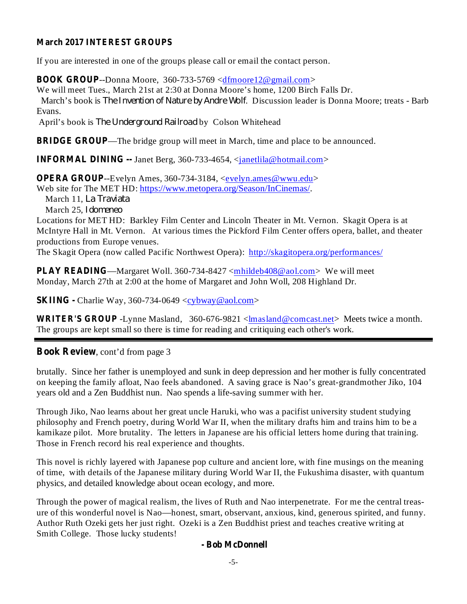#### **March 2017 INTEREST GROUPS**

If you are interested in one of the groups please call or email the contact person.

**BOOK GROUP**--Donna Moore, 360-733-5769 <dfmoore12@gmail.com>

We will meet Tues., March 21st at 2:30 at Donna Moore's home, 1200 Birch Falls Dr. March's book is *The Invention of Nature by Andre Wolf.* Discussion leader is Donna Moore; treats - Barb Evans.

April's book is The Underground Railroad by Colson Whitehead

**BRIDGE GROUP**—The bridge group will meet in March, time and place to be announced.

**INFORMAL DINING --** Janet Berg, 360-733-4654, <*janetlila@hotmail.com>* 

**OPERA GROUP**--Evelyn Ames, 360-734-3184, <<u>evelyn.ames@wwu.edu</u>>

Web site for The MET HD: https://www.metopera.org/Season/InCinemas/.

March 11, *La Traviata*

March 25, *Idomeneo*

Locations for MET HD: Barkley Film Center and Lincoln Theater in Mt. Vernon. Skagit Opera is at McIntyre Hall in Mt. Vernon. At various times the Pickford Film Center offers opera, ballet, and theater productions from Europe venues.

The Skagit Opera (now called Pacific Northwest Opera): http://skagitopera.org/performances/

**PLAY READING**—Margaret Woll. 360-734-8427 <mnhildeb408@aol.com> We will meet Monday, March 27th at 2:00 at the home of Margaret and John Woll, 208 Highland Dr.

**SKIING** - Charlie Way, 360-734-0649 <cybway@aol.com>

WRITER'S GROUP -Lynne Masland, 360-676-9821 <lmasland@comcast.net> Meets twice a month. The groups are kept small so there is time for reading and critiquing each other's work.

, cont'd from page 3 **Book Review**

brutally. Since her father is unemployed and sunk in deep depression and her mother is fully concentrated on keeping the family afloat, Nao feels abandoned. A saving grace is Nao's great-grandmother Jiko, 104 years old and a Zen Buddhist nun. Nao spends a life-saving summer with her.

Through Jiko, Nao learns about her great uncle Haruki, who was a pacifist university student studying philosophy and French poetry, during World War II, when the military drafts him and trains him to be a kamikaze pilot. More brutality. The letters in Japanese are his official letters home during that training. Those in French record his real experience and thoughts.

This novel is richly layered with Japanese pop culture and ancient lore, with fine musings on the meaning of time, with details of the Japanese military during World War II, the Fukushima disaster, with quantum physics, and detailed knowledge about ocean ecology, and more.

Through the power of magical realism, the lives of Ruth and Nao interpenetrate. For me the central treasure of this wonderful novel is Nao—honest, smart, observant, anxious, kind, generous spirited, and funny. Author Ruth Ozeki gets her just right. Ozeki is a Zen Buddhist priest and teaches creative writing at Smith College. Those lucky students!

#### **- Bob McDonnell**